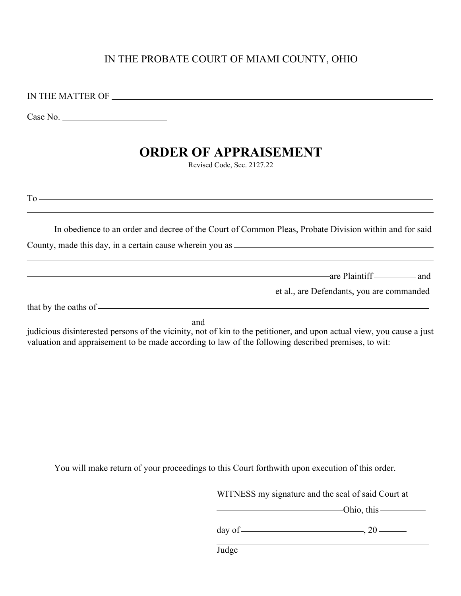## IN THE PROBATE COURT OF MIAMI COUNTY, OHIO

IN THE MATTER OF

Case No.

## **ORDER OF APPRAISEMENT**

Revised Code, Sec. 2127.22

To

| In obedience to an order and decree of the Court of Common Pleas, Probate Division within and for said |  |  |  |  |
|--------------------------------------------------------------------------------------------------------|--|--|--|--|
|                                                                                                        |  |  |  |  |

County, made this day, in a certain cause wherein you as

are Plaintiff and and the plaintiff and the plaintiff and and the plaintiff and the plaintiff and the plaintiff and the plaintiff and the plaintiff and the plaintiff and the plaintiff and the plaintiff and the plaintiff an

et al., are Defendants, you are commanded

that by the oaths of

and <u>services</u> and services are the services of the services of the services of the services of the services of the services of the services of the services of the services of the services of the services of the services o

judicious disinterested persons of the vicinity, not of kin to the petitioner, and upon actual view, you cause a just valuation and appraisement to be made according to law of the following described premises, to wit:

You will make return of your proceedings to this Court forthwith upon execution of this order.

WITNESS my signature and the seal of said Court at

Ohio, this

day of  $\frac{20}{20}$ 

Judge